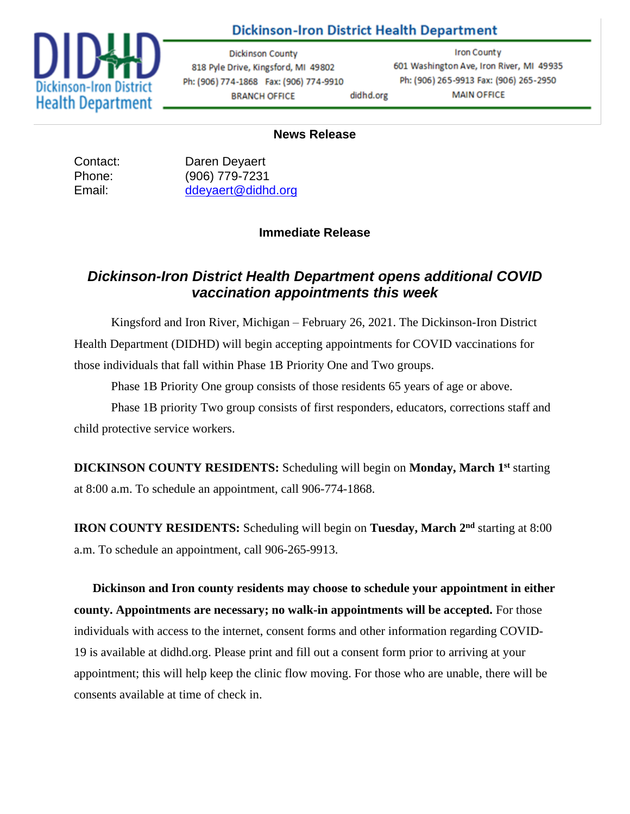

### **Dickinson-Iron District Health Department**

**Dickinson County** 818 Pyle Drive, Kingsford, MI 49802 Ph: (906) 774-1868 Fax: (906) 774-9910 **BRANCH OFFICE** didhd.org

**Iron County** 601 Washington Ave, Iron River, MI 49935 Ph: (906) 265-9913 Fax: (906) 265-2950 **MAIN OFFICE** 

#### **News Release**

Contact: Daren Deyaert Phone: (906) 779-7231 Email: [ddeyaert@didhd.org](mailto:ddeyaert@didhd.org)

#### **Immediate Release**

## *Dickinson-Iron District Health Department opens additional COVID vaccination appointments this week*

Kingsford and Iron River, Michigan – February 26, 2021. The Dickinson-Iron District Health Department (DIDHD) will begin accepting appointments for COVID vaccinations for those individuals that fall within Phase 1B Priority One and Two groups.

Phase 1B Priority One group consists of those residents 65 years of age or above.

Phase 1B priority Two group consists of first responders, educators, corrections staff and child protective service workers.

**DICKINSON COUNTY RESIDENTS:** Scheduling will begin on **Monday, March 1 st** starting at 8:00 a.m. To schedule an appointment, call 906-774-1868.

**IRON COUNTY RESIDENTS:** Scheduling will begin on **Tuesday, March 2 nd** starting at 8:00 a.m. To schedule an appointment, call 906-265-9913.

**Dickinson and Iron county residents may choose to schedule your appointment in either county. Appointments are necessary; no walk-in appointments will be accepted.** For those individuals with access to the internet, consent forms and other information regarding COVID-19 is available at didhd.org. Please print and fill out a consent form prior to arriving at your appointment; this will help keep the clinic flow moving. For those who are unable, there will be consents available at time of check in.